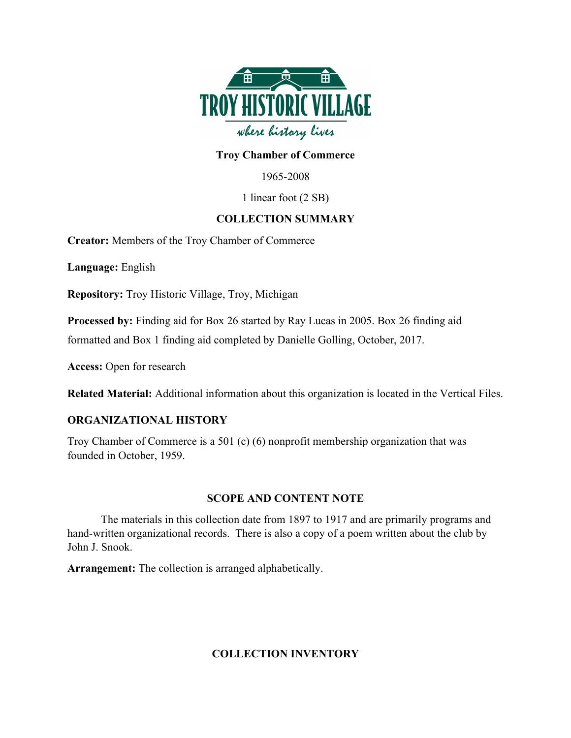

### **Troy Chamber of Commerce**

1965-2008

1 linear foot (2 SB)

## **COLLECTION SUMMARY**

**Creator:** Members of the Troy Chamber of Commerce

**Language:** English

**Repository:** Troy Historic Village, Troy, Michigan

**Processed by:** Finding aid for Box 26 started by Ray Lucas in 2005. Box 26 finding aid

formatted and Box 1 finding aid completed by Danielle Golling, October, 2017.

**Access:** Open for research

**Related Material:** Additional information about this organization is located in the Vertical Files.

## **ORGANIZATIONAL HISTORY**

Troy Chamber of Commerce is a 501 (c) (6) nonprofit membership organization that was founded in October, 1959.

#### **SCOPE AND CONTENT NOTE**

The materials in this collection date from 1897 to 1917 and are primarily programs and hand-written organizational records. There is also a copy of a poem written about the club by John J. Snook.

**Arrangement:** The collection is arranged alphabetically.

## **COLLECTION INVENTORY**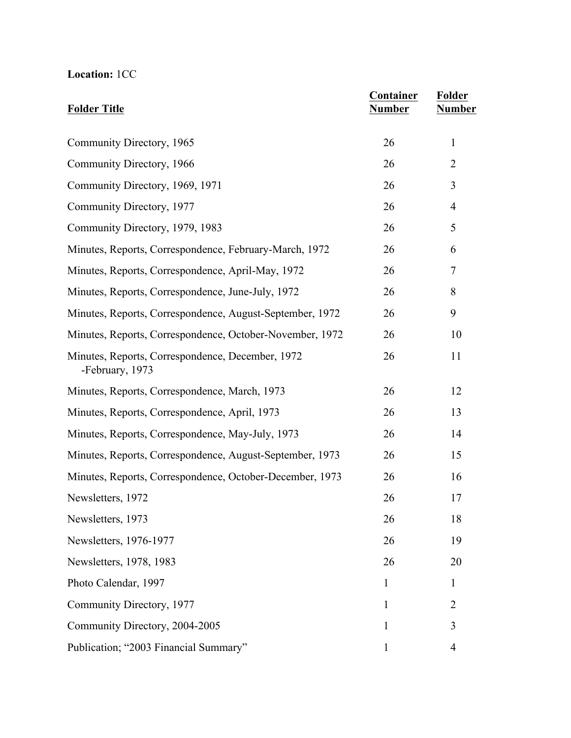# **Location:** 1CC

| <b>Folder Title</b>                                                 | Container<br><b>Number</b> | Folder<br><b>Number</b> |
|---------------------------------------------------------------------|----------------------------|-------------------------|
| Community Directory, 1965                                           | 26                         | 1                       |
| Community Directory, 1966                                           | 26                         | $\overline{2}$          |
| Community Directory, 1969, 1971                                     | 26                         | 3                       |
| Community Directory, 1977                                           | 26                         | 4                       |
| Community Directory, 1979, 1983                                     | 26                         | 5                       |
| Minutes, Reports, Correspondence, February-March, 1972              | 26                         | 6                       |
| Minutes, Reports, Correspondence, April-May, 1972                   | 26                         | 7                       |
| Minutes, Reports, Correspondence, June-July, 1972                   | 26                         | 8                       |
| Minutes, Reports, Correspondence, August-September, 1972            | 26                         | 9                       |
| Minutes, Reports, Correspondence, October-November, 1972            | 26                         | 10                      |
| Minutes, Reports, Correspondence, December, 1972<br>-February, 1973 | 26                         | 11                      |
| Minutes, Reports, Correspondence, March, 1973                       | 26                         | 12                      |
| Minutes, Reports, Correspondence, April, 1973                       | 26                         | 13                      |
| Minutes, Reports, Correspondence, May-July, 1973                    | 26                         | 14                      |
| Minutes, Reports, Correspondence, August-September, 1973            | 26                         | 15                      |
| Minutes, Reports, Correspondence, October-December, 1973            | 26                         | 16                      |
| Newsletters, 1972                                                   | 26                         | 17                      |
| Newsletters, 1973                                                   | 26                         | 18                      |
| Newsletters, 1976-1977                                              | 26                         | 19                      |
| Newsletters, 1978, 1983                                             | 26                         | 20                      |
| Photo Calendar, 1997                                                | 1                          | 1                       |
| Community Directory, 1977                                           | $\mathbf{1}$               | 2                       |
| Community Directory, 2004-2005                                      | 1                          | 3                       |
| Publication; "2003 Financial Summary"                               | 1                          | 4                       |